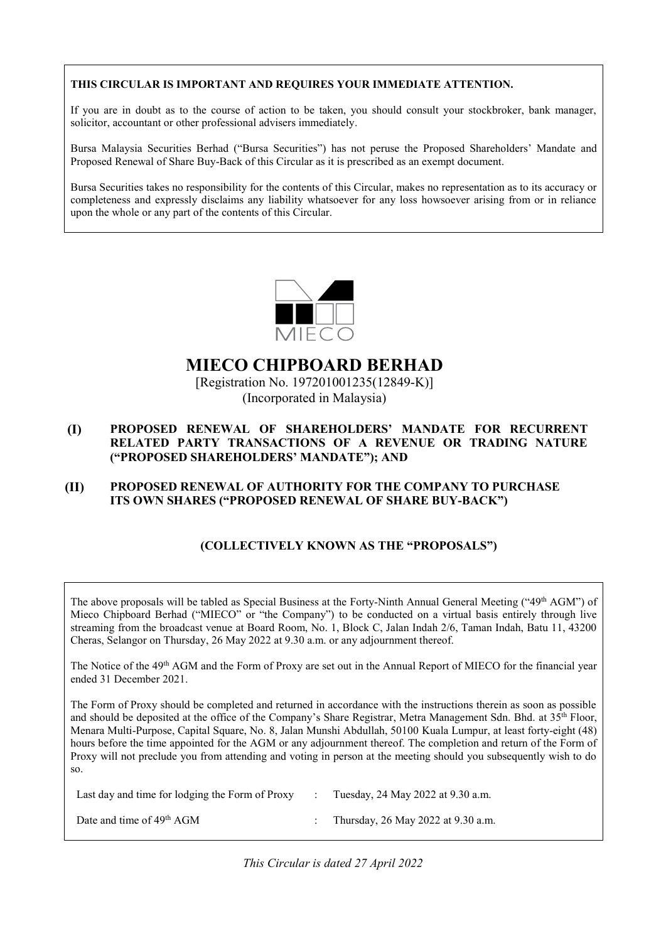#### **THIS CIRCULAR IS IMPORTANT AND REQUIRES YOUR IMMEDIATE ATTENTION.**

If you are in doubt as to the course of action to be taken, you should consult your stockbroker, bank manager, solicitor, accountant or other professional advisers immediately.

Bursa Malaysia Securities Berhad ("Bursa Securities") has not peruse the Proposed Shareholders' Mandate and Proposed Renewal of Share Buy-Back of this Circular as it is prescribed as an exempt document.

Bursa Securities takes no responsibility for the contents of this Circular, makes no representation as to its accuracy or completeness and expressly disclaims any liability whatsoever for any loss howsoever arising from or in reliance upon the whole or any part of the contents of this Circular.



# **MIECO CHIPBOARD BERHAD**

[Registration No. 197201001235(12849-K)] (Incorporated in Malaysia)

#### **(I) PROPOSED RENEWAL OF SHAREHOLDERS' MANDATE FOR RECURRENT RELATED PARTY TRANSACTIONS OF A REVENUE OR TRADING NATURE ("PROPOSED SHAREHOLDERS' MANDATE"); AND**

# **(II) PROPOSED RENEWAL OF AUTHORITY FOR THE COMPANY TO PURCHASE ITS OWN SHARES ("PROPOSED RENEWAL OF SHARE BUY-BACK")**

# **(COLLECTIVELY KNOWN AS THE "PROPOSALS")**

The above proposals will be tabled as Special Business at the Forty-Ninth Annual General Meeting ("49<sup>th</sup> AGM") of Mieco Chipboard Berhad ("MIECO" or "the Company") to be conducted on a virtual basis entirely through live streaming from the broadcast venue at Board Room, No. 1, Block C, Jalan Indah 2/6, Taman Indah, Batu 11, 43200 Cheras, Selangor on Thursday, 26 May 2022 at 9.30 a.m. or any adjournment thereof.

The Notice of the 49<sup>th</sup> AGM and the Form of Proxy are set out in the Annual Report of MIECO for the financial year ended 31 December 2021.

The Form of Proxy should be completed and returned in accordance with the instructions therein as soon as possible and should be deposited at the office of the Company's Share Registrar, Metra Management Sdn. Bhd. at  $35<sup>th</sup>$  Floor, Menara Multi-Purpose, Capital Square, No. 8, Jalan Munshi Abdullah, 50100 Kuala Lumpur, at least forty-eight (48) hours before the time appointed for the AGM or any adjournment thereof. The completion and return of the Form of Proxy will not preclude you from attending and voting in person at the meeting should you subsequently wish to do so.

| Last day and time for lodging the Form of Proxy | Tuesday, 24 May 2022 at 9.30 a.m.  |
|-------------------------------------------------|------------------------------------|
| Date and time of 49 <sup>th</sup> AGM           | Thursday, 26 May 2022 at 9.30 a.m. |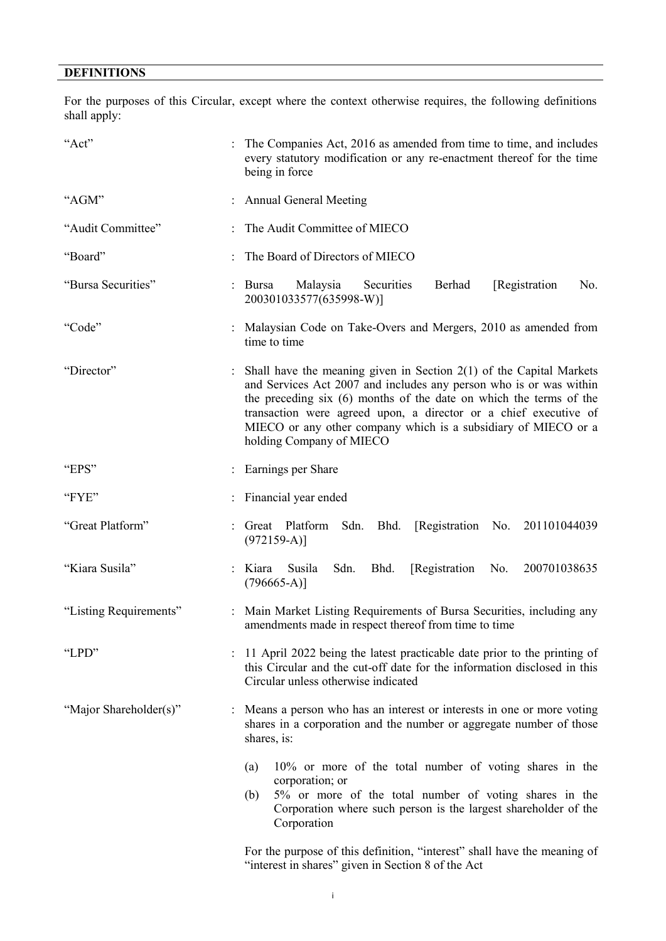# **DEFINITIONS**

For the purposes of this Circular, except where the context otherwise requires, the following definitions shall apply:

| "Act"                  | The Companies Act, 2016 as amended from time to time, and includes<br>every statutory modification or any re-enactment thereof for the time<br>being in force                                                                                                                                                                                                                       |  |  |  |  |  |
|------------------------|-------------------------------------------------------------------------------------------------------------------------------------------------------------------------------------------------------------------------------------------------------------------------------------------------------------------------------------------------------------------------------------|--|--|--|--|--|
| "AGM"                  | <b>Annual General Meeting</b>                                                                                                                                                                                                                                                                                                                                                       |  |  |  |  |  |
| "Audit Committee"      | The Audit Committee of MIECO                                                                                                                                                                                                                                                                                                                                                        |  |  |  |  |  |
| "Board"                | The Board of Directors of MIECO                                                                                                                                                                                                                                                                                                                                                     |  |  |  |  |  |
| "Bursa Securities"     | Malaysia<br>Berhad<br>[Registration]<br>No.<br>Bursa<br>Securities<br>200301033577(635998-W)]                                                                                                                                                                                                                                                                                       |  |  |  |  |  |
| "Code"                 | Malaysian Code on Take-Overs and Mergers, 2010 as amended from<br>time to time                                                                                                                                                                                                                                                                                                      |  |  |  |  |  |
| "Director"             | Shall have the meaning given in Section $2(1)$ of the Capital Markets<br>and Services Act 2007 and includes any person who is or was within<br>the preceding six (6) months of the date on which the terms of the<br>transaction were agreed upon, a director or a chief executive of<br>MIECO or any other company which is a subsidiary of MIECO or a<br>holding Company of MIECO |  |  |  |  |  |
| "EPS"                  | Earnings per Share                                                                                                                                                                                                                                                                                                                                                                  |  |  |  |  |  |
| "FYE"                  | Financial year ended                                                                                                                                                                                                                                                                                                                                                                |  |  |  |  |  |
| "Great Platform"       | Great Platform<br>Sdn.<br>Bhd.<br>[Registration No. 201101044039]<br>$(972159-A)$ ]                                                                                                                                                                                                                                                                                                 |  |  |  |  |  |
| "Kiara Susila"         | Bhd.<br>[Registration]<br>No.<br>200701038635<br>Kiara<br>Susila<br>Sdn.<br>$(796665-A)$ ]                                                                                                                                                                                                                                                                                          |  |  |  |  |  |
| "Listing Requirements" | Main Market Listing Requirements of Bursa Securities, including any<br>amendments made in respect thereof from time to time                                                                                                                                                                                                                                                         |  |  |  |  |  |
| "LPD"                  | 11 April 2022 being the latest practicable date prior to the printing of<br>this Circular and the cut-off date for the information disclosed in this<br>Circular unless otherwise indicated                                                                                                                                                                                         |  |  |  |  |  |
| "Major Shareholder(s)" | Means a person who has an interest or interests in one or more voting<br>shares in a corporation and the number or aggregate number of those<br>shares, is:                                                                                                                                                                                                                         |  |  |  |  |  |
|                        | 10% or more of the total number of voting shares in the<br>(a)<br>corporation; or<br>5% or more of the total number of voting shares in the<br>(b)<br>Corporation where such person is the largest shareholder of the<br>Corporation                                                                                                                                                |  |  |  |  |  |
|                        | For the purpose of this definition, "interest" shall have the meaning of                                                                                                                                                                                                                                                                                                            |  |  |  |  |  |

For the purpose of this definition, "interest" shall have the meaning of "interest in shares" given in Section 8 of the Act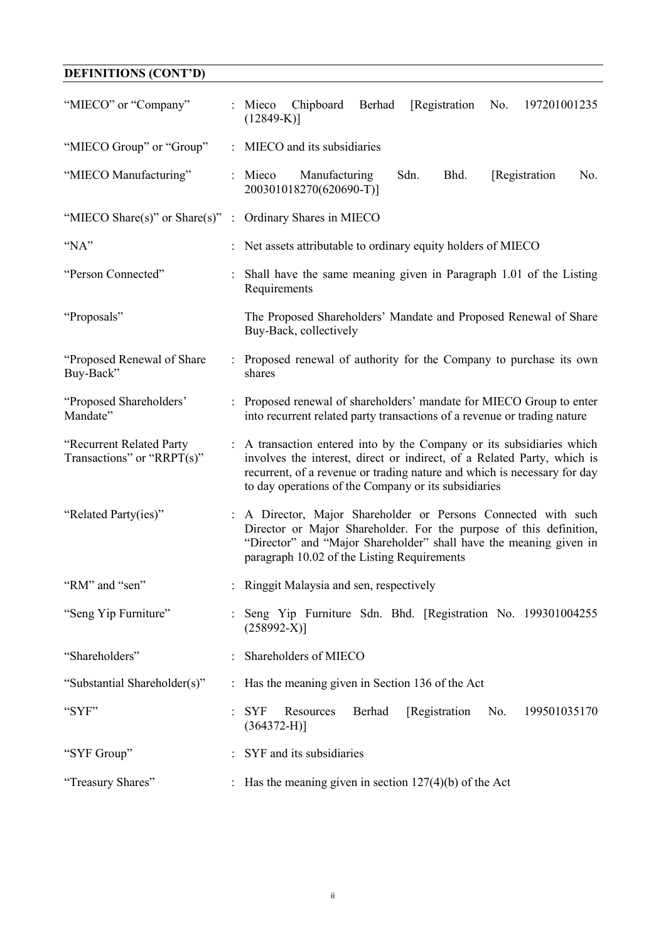# **DEFINITIONS (CONT'D)**

| "MIECO" or "Company"                                     | Chipboard<br>Berhad<br>[Registration]<br>197201001235<br>$:$ Mieco<br>No.<br>$(12849-K)$ ]                                                                                                                                                                                           |  |  |  |  |
|----------------------------------------------------------|--------------------------------------------------------------------------------------------------------------------------------------------------------------------------------------------------------------------------------------------------------------------------------------|--|--|--|--|
| "MIECO Group" or "Group"                                 | : MIECO and its subsidiaries                                                                                                                                                                                                                                                         |  |  |  |  |
| "MIECO Manufacturing"                                    | : Mieco<br>Manufacturing<br>Sdn.<br>Bhd.<br>[Registration<br>No.<br>200301018270(620690-T)]                                                                                                                                                                                          |  |  |  |  |
| "MIECO Share(s)" or Share(s)" : Ordinary Shares in MIECO |                                                                                                                                                                                                                                                                                      |  |  |  |  |
| "NA"                                                     | : Net assets attributable to ordinary equity holders of MIECO                                                                                                                                                                                                                        |  |  |  |  |
| "Person Connected"                                       | : Shall have the same meaning given in Paragraph 1.01 of the Listing<br>Requirements                                                                                                                                                                                                 |  |  |  |  |
| "Proposals"                                              | The Proposed Shareholders' Mandate and Proposed Renewal of Share<br>Buy-Back, collectively                                                                                                                                                                                           |  |  |  |  |
| "Proposed Renewal of Share"<br>Buy-Back"                 | : Proposed renewal of authority for the Company to purchase its own<br>shares                                                                                                                                                                                                        |  |  |  |  |
| "Proposed Shareholders"<br>Mandate"                      | : Proposed renewal of shareholders' mandate for MIECO Group to enter<br>into recurrent related party transactions of a revenue or trading nature                                                                                                                                     |  |  |  |  |
| "Recurrent Related Party<br>Transactions" or "RRPT(s)"   | : A transaction entered into by the Company or its subsidiaries which<br>involves the interest, direct or indirect, of a Related Party, which is<br>recurrent, of a revenue or trading nature and which is necessary for day<br>to day operations of the Company or its subsidiaries |  |  |  |  |
| "Related Party(ies)"                                     | A Director, Major Shareholder or Persons Connected with such<br>Director or Major Shareholder. For the purpose of this definition,<br>"Director" and "Major Shareholder" shall have the meaning given in<br>paragraph 10.02 of the Listing Requirements                              |  |  |  |  |
| "RM" and "sen"                                           | Ringgit Malaysia and sen, respectively                                                                                                                                                                                                                                               |  |  |  |  |
| "Seng Yip Furniture"                                     | : Seng Yip Furniture Sdn. Bhd. [Registration No. 199301004255]<br>$(258992-X)]$                                                                                                                                                                                                      |  |  |  |  |
| "Shareholders"                                           | Shareholders of MIECO                                                                                                                                                                                                                                                                |  |  |  |  |
| "Substantial Shareholder(s)"                             | : Has the meaning given in Section 136 of the Act                                                                                                                                                                                                                                    |  |  |  |  |
| "SYF"                                                    | Berhad<br>[Registration]<br>Resources<br>No.<br>199501035170<br><b>SYF</b><br>$(364372-H)$ ]                                                                                                                                                                                         |  |  |  |  |
| "SYF Group"                                              | SYF and its subsidiaries                                                                                                                                                                                                                                                             |  |  |  |  |
| "Treasury Shares"                                        | : Has the meaning given in section $127(4)(b)$ of the Act                                                                                                                                                                                                                            |  |  |  |  |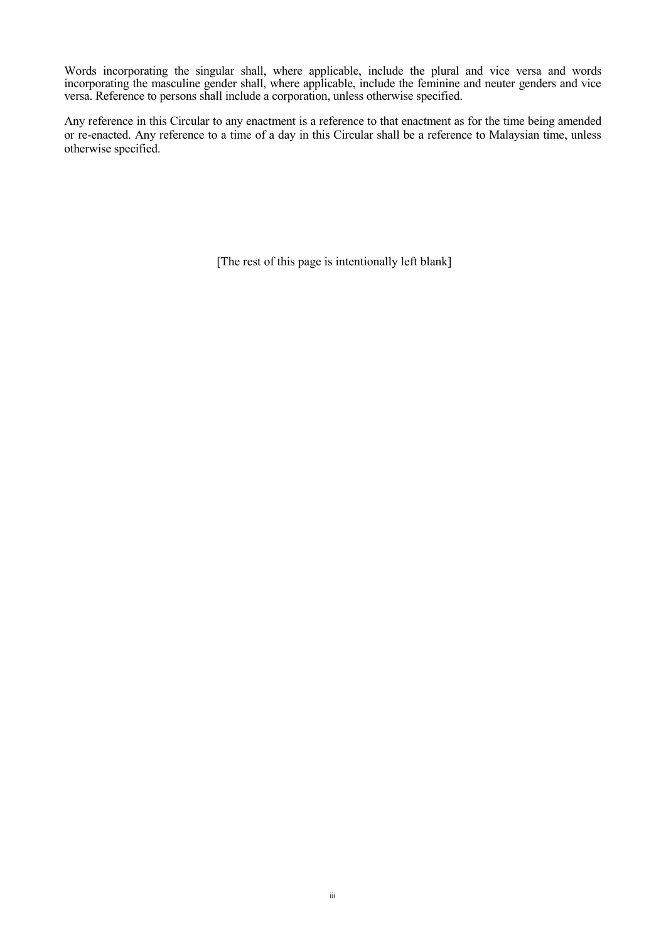Words incorporating the singular shall, where applicable, include the plural and vice versa and words incorporating the masculine gender shall, where applicable, include the feminine and neuter genders and vice versa. Reference to persons shall include a corporation, unless otherwise specified.

Any reference in this Circular to any enactment is a reference to that enactment as for the time being amended or re-enacted. Any reference to a time of a day in this Circular shall be a reference to Malaysian time, unless otherwise specified.

[The rest of this page is intentionally left blank]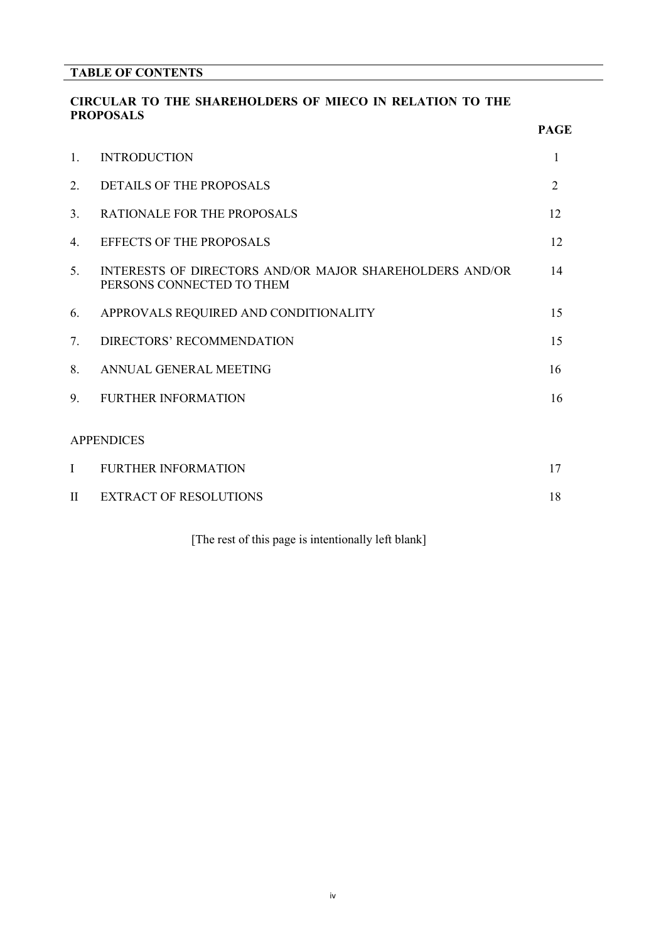# **CIRCULAR TO THE SHAREHOLDERS OF MIECO IN RELATION TO THE PROPOSALS**

|                |                                                                                      | <b>PAGE</b>    |
|----------------|--------------------------------------------------------------------------------------|----------------|
| 1.             | <b>INTRODUCTION</b>                                                                  | 1              |
| 2.             | DETAILS OF THE PROPOSALS                                                             | $\overline{2}$ |
| 3.             | <b>RATIONALE FOR THE PROPOSALS</b>                                                   | 12             |
| 4.             | <b>EFFECTS OF THE PROPOSALS</b>                                                      | 12             |
| 5 <sub>1</sub> | INTERESTS OF DIRECTORS AND/OR MAJOR SHAREHOLDERS AND/OR<br>PERSONS CONNECTED TO THEM | 14             |
| 6.             | APPROVALS REQUIRED AND CONDITIONALITY                                                | 15             |
| 7.             | DIRECTORS' RECOMMENDATION                                                            | 15             |
| 8.             | ANNUAL GENERAL MEETING                                                               | 16             |
| 9.             | <b>FURTHER INFORMATION</b>                                                           | 16             |
|                | <b>APPENDICES</b>                                                                    |                |
| $\bf{I}$       | <b>FURTHER INFORMATION</b>                                                           | 17             |
| $\mathbf{I}$   | <b>EXTRACT OF RESOLUTIONS</b>                                                        | 18             |

[The rest of this page is intentionally left blank]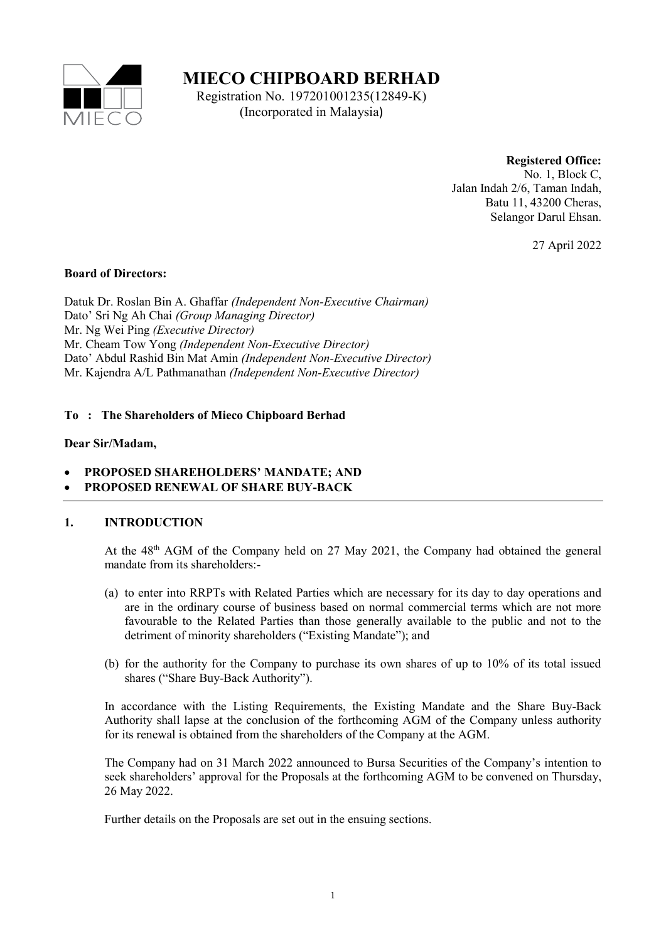

**MIECO CHIPBOARD BERHAD**

Registration No. 197201001235(12849-K) (Incorporated in Malaysia)

#### **Registered Office:**

No. 1, Block C, Jalan Indah 2/6, Taman Indah, Batu 11, 43200 Cheras, Selangor Darul Ehsan.

27 April 2022

#### **Board of Directors:**

Datuk Dr. Roslan Bin A. Ghaffar *(Independent Non-Executive Chairman)* Dato' Sri Ng Ah Chai *(Group Managing Director)*  Mr. Ng Wei Ping *(Executive Director)*  Mr. Cheam Tow Yong *(Independent Non-Executive Director)* Dato' Abdul Rashid Bin Mat Amin *(Independent Non-Executive Director)* Mr. Kajendra A/L Pathmanathan *(Independent Non-Executive Director)*

#### **To : The Shareholders of Mieco Chipboard Berhad**

#### **Dear Sir/Madam,**

- **PROPOSED SHAREHOLDERS' MANDATE; AND**
- **PROPOSED RENEWAL OF SHARE BUY-BACK**

#### **1. INTRODUCTION**

At the 48<sup>th</sup> AGM of the Company held on 27 May 2021, the Company had obtained the general mandate from its shareholders:-

- (a) to enter into RRPTs with Related Parties which are necessary for its day to day operations and are in the ordinary course of business based on normal commercial terms which are not more favourable to the Related Parties than those generally available to the public and not to the detriment of minority shareholders ("Existing Mandate"); and
- (b) for the authority for the Company to purchase its own shares of up to 10% of its total issued shares ("Share Buy-Back Authority").

In accordance with the Listing Requirements, the Existing Mandate and the Share Buy-Back Authority shall lapse at the conclusion of the forthcoming AGM of the Company unless authority for its renewal is obtained from the shareholders of the Company at the AGM.

The Company had on 31 March 2022 announced to Bursa Securities of the Company's intention to seek shareholders' approval for the Proposals at the forthcoming AGM to be convened on Thursday, 26 May 2022.

Further details on the Proposals are set out in the ensuing sections.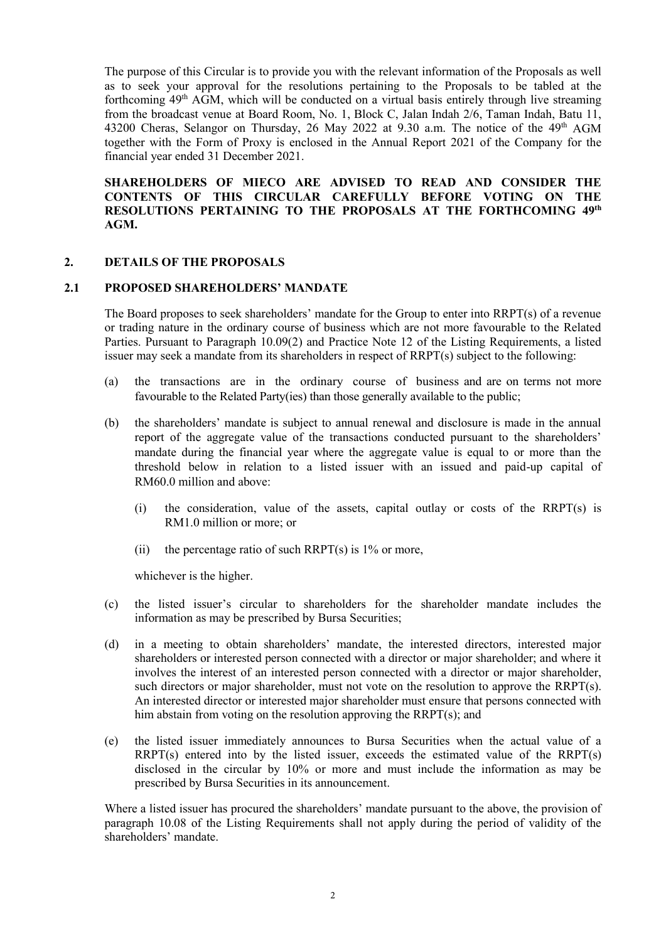The purpose of this Circular is to provide you with the relevant information of the Proposals as well as to seek your approval for the resolutions pertaining to the Proposals to be tabled at the forthcoming  $49<sup>th</sup>$  AGM, which will be conducted on a virtual basis entirely through live streaming from the broadcast venue at Board Room, No. 1, Block C, Jalan Indah 2/6, Taman Indah, Batu 11, 43200 Cheras, Selangor on Thursday, 26 May 2022 at 9.30 a.m. The notice of the  $49<sup>th</sup>$  AGM together with the Form of Proxy is enclosed in the Annual Report 2021 of the Company for the financial year ended 31 December 2021.

#### **SHAREHOLDERS OF MIECO ARE ADVISED TO READ AND CONSIDER THE CONTENTS OF THIS CIRCULAR CAREFULLY BEFORE VOTING ON THE RESOLUTIONS PERTAINING TO THE PROPOSALS AT THE FORTHCOMING 49th AGM.**

#### **2. DETAILS OF THE PROPOSALS**

#### **2.1 PROPOSED SHAREHOLDERS' MANDATE**

The Board proposes to seek shareholders' mandate for the Group to enter into RRPT(s) of a revenue or trading nature in the ordinary course of business which are not more favourable to the Related Parties. Pursuant to Paragraph 10.09(2) and Practice Note 12 of the Listing Requirements, a listed issuer may seek a mandate from its shareholders in respect of RRPT(s) subject to the following:

- (a) the transactions are in the ordinary course of business and are on terms not more favourable to the Related Party(ies) than those generally available to the public;
- (b) the shareholders' mandate is subject to annual renewal and disclosure is made in the annual report of the aggregate value of the transactions conducted pursuant to the shareholders' mandate during the financial year where the aggregate value is equal to or more than the threshold below in relation to a listed issuer with an issued and paid-up capital of RM60.0 million and above:
	- (i) the consideration, value of the assets, capital outlay or costs of the RRPT(s) is RM1.0 million or more; or
	- (ii) the percentage ratio of such RRPT(s) is  $1\%$  or more,

whichever is the higher.

- (c) the listed issuer's circular to shareholders for the shareholder mandate includes the information as may be prescribed by Bursa Securities;
- (d) in a meeting to obtain shareholders' mandate, the interested directors, interested major shareholders or interested person connected with a director or major shareholder; and where it involves the interest of an interested person connected with a director or major shareholder, such directors or major shareholder, must not vote on the resolution to approve the RRPT(s). An interested director or interested major shareholder must ensure that persons connected with him abstain from voting on the resolution approving the RRPT(s); and
- (e) the listed issuer immediately announces to Bursa Securities when the actual value of a RRPT(s) entered into by the listed issuer, exceeds the estimated value of the RRPT(s) disclosed in the circular by 10% or more and must include the information as may be prescribed by Bursa Securities in its announcement.

Where a listed issuer has procured the shareholders' mandate pursuant to the above, the provision of paragraph 10.08 of the Listing Requirements shall not apply during the period of validity of the shareholders' mandate.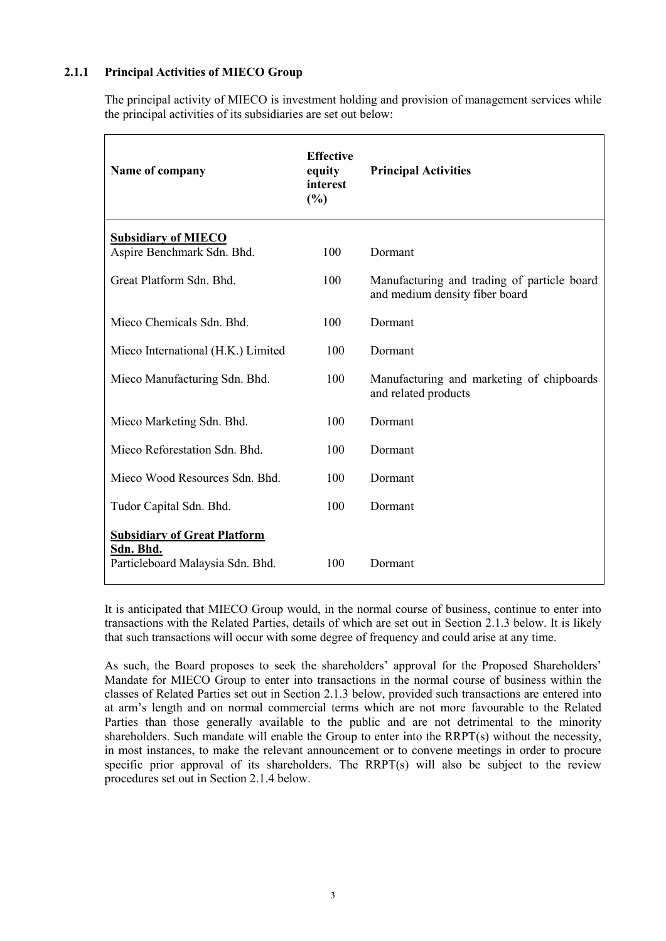# **2.1.1 Principal Activities of MIECO Group**

The principal activity of MIECO is investment holding and provision of management services while the principal activities of its subsidiaries are set out below:

| Name of company                                                                      | <b>Effective</b><br>equity<br>interest<br>(%) | <b>Principal Activities</b>                                                   |
|--------------------------------------------------------------------------------------|-----------------------------------------------|-------------------------------------------------------------------------------|
| <b>Subsidiary of MIECO</b><br>Aspire Benchmark Sdn. Bhd.                             | 100                                           | Dormant                                                                       |
| Great Platform Sdn. Bhd.                                                             | 100                                           | Manufacturing and trading of particle board<br>and medium density fiber board |
| Mieco Chemicals Sdn. Bhd.                                                            | 100                                           | Dormant                                                                       |
| Mieco International (H.K.) Limited                                                   | 100                                           | Dormant                                                                       |
| Mieco Manufacturing Sdn. Bhd.                                                        | 100                                           | Manufacturing and marketing of chipboards<br>and related products             |
| Mieco Marketing Sdn. Bhd.                                                            | 100                                           | Dormant                                                                       |
| Mieco Reforestation Sdn. Bhd.                                                        | 100                                           | Dormant                                                                       |
| Mieco Wood Resources Sdn. Bhd.                                                       | 100                                           | Dormant                                                                       |
| Tudor Capital Sdn. Bhd.                                                              | 100                                           | Dormant                                                                       |
| <b>Subsidiary of Great Platform</b><br>Sdn. Bhd.<br>Particleboard Malaysia Sdn. Bhd. | 100                                           | Dormant                                                                       |

It is anticipated that MIECO Group would, in the normal course of business, continue to enter into transactions with the Related Parties, details of which are set out in Section 2.1.3 below. It is likely that such transactions will occur with some degree of frequency and could arise at any time.

As such, the Board proposes to seek the shareholders' approval for the Proposed Shareholders' Mandate for MIECO Group to enter into transactions in the normal course of business within the classes of Related Parties set out in Section 2.1.3 below, provided such transactions are entered into at arm's length and on normal commercial terms which are not more favourable to the Related Parties than those generally available to the public and are not detrimental to the minority shareholders. Such mandate will enable the Group to enter into the RRPT(s) without the necessity, in most instances, to make the relevant announcement or to convene meetings in order to procure specific prior approval of its shareholders. The  $RRPT(s)$  will also be subject to the review procedures set out in Section 2.1.4 below.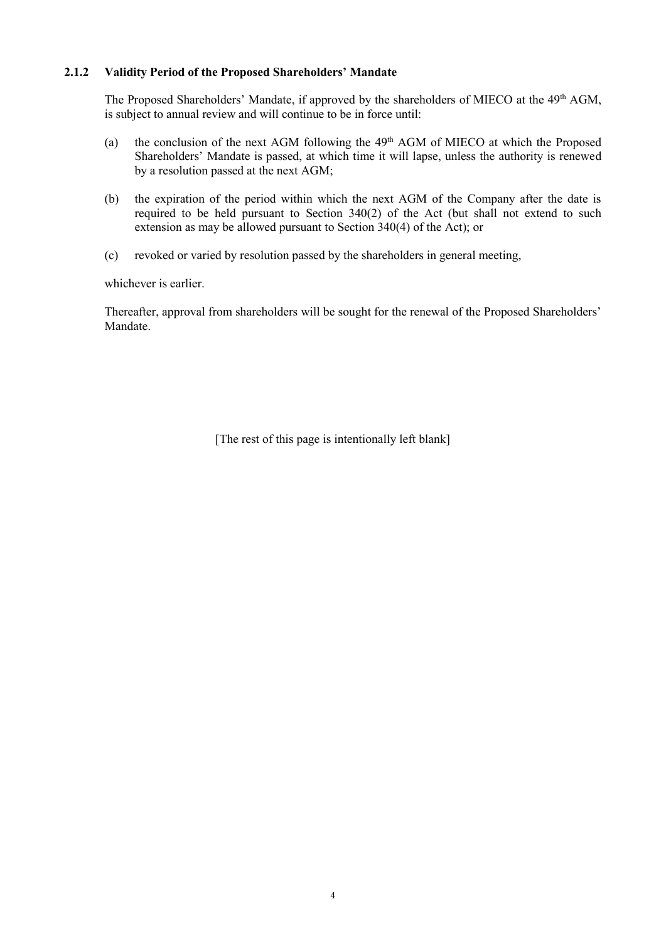#### **2.1.2 Validity Period of the Proposed Shareholders' Mandate**

The Proposed Shareholders' Mandate, if approved by the shareholders of MIECO at the 49<sup>th</sup> AGM, is subject to annual review and will continue to be in force until:

- (a) the conclusion of the next AGM following the  $49<sup>th</sup>$  AGM of MIECO at which the Proposed Shareholders' Mandate is passed, at which time it will lapse, unless the authority is renewed by a resolution passed at the next AGM;
- (b) the expiration of the period within which the next AGM of the Company after the date is required to be held pursuant to Section 340(2) of the Act (but shall not extend to such extension as may be allowed pursuant to Section 340(4) of the Act); or
- (c) revoked or varied by resolution passed by the shareholders in general meeting,

whichever is earlier.

Thereafter, approval from shareholders will be sought for the renewal of the Proposed Shareholders' Mandate.

[The rest of this page is intentionally left blank]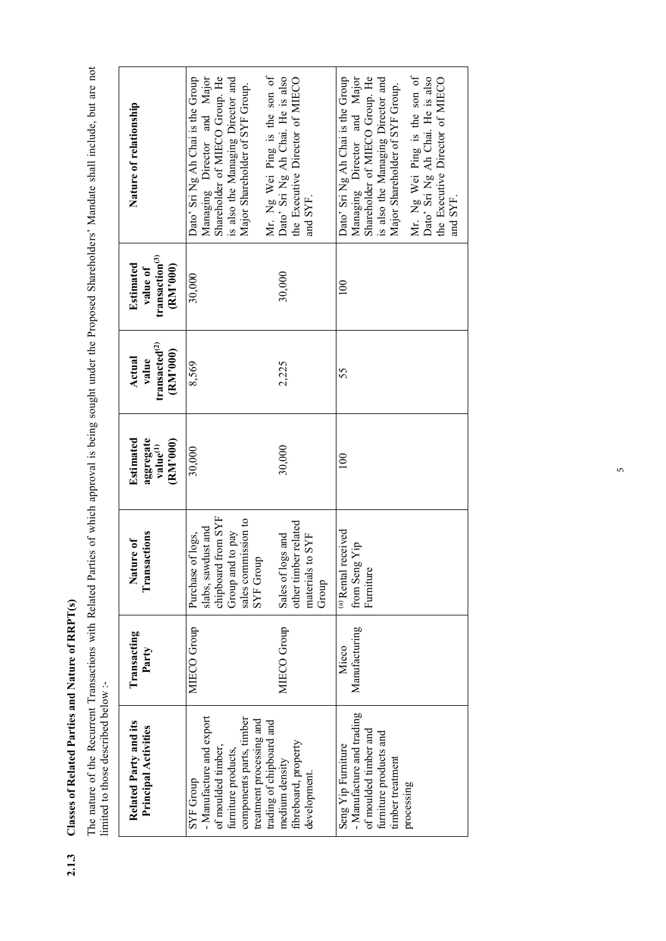Classes of Related Parties and Nature of RRPT(s) **2.1.3 Classes of Related Parties and Nature of RRPT(s)**  $2.1.3$ 

The nature of the Recurrent Transactions with Related Parties of which approval is being sought under the Proposed Shareholders' Mandate shall include, but are not limited to those described below :-The nature of the Recurrent Transactions with Related Parties of which approval is being sought under the Proposed Shareholders' Mandate shall include, but are not limited to those described below :-

| Nature of relationship                                               | Dato' Sri Ng Ah Chai is the Group<br>Shareholder of MIECO Group. He<br>Managing Director and Major<br>is also the Managing Director and<br>Major Shareholder of SYF Group. | Mr. Ng Wei Ping is the son of<br>Dato' Sri Ng Ah Chai. He is also<br>the Executive Director of MIECO<br>and SYF. | Mr. Ng Wei Ping is the son of<br>Dato' Sri Ng Ah Chai is the Group<br>Managing Director and Major<br>Shareholder of MIECO Group. He<br>Dato' Sri Ng Ah Chai. He is also<br>is also the Managing Director and<br>the Executive Director of MIECO<br>Major Shareholder of SYF Group.<br>and SYF. |
|----------------------------------------------------------------------|----------------------------------------------------------------------------------------------------------------------------------------------------------------------------|------------------------------------------------------------------------------------------------------------------|------------------------------------------------------------------------------------------------------------------------------------------------------------------------------------------------------------------------------------------------------------------------------------------------|
| transaction <sup>(3)</sup><br>Estimated<br>(RM'000)<br>value of      | 30,000                                                                                                                                                                     | 30,000                                                                                                           | 100                                                                                                                                                                                                                                                                                            |
| transacted <sup>(2)</sup><br>(RM'000)<br>Actual<br>value             | 8,569                                                                                                                                                                      | 2,225                                                                                                            | 55                                                                                                                                                                                                                                                                                             |
| Estimated<br>aggregate<br>$(RM^{\prime}000)$<br>value <sup>(1)</sup> | 30,000                                                                                                                                                                     | 30,000                                                                                                           | $\overline{100}$                                                                                                                                                                                                                                                                               |
| Transactions<br>Nature of                                            | l from SYF<br>sales commission to<br>slabs, sawdust and<br>Group and to pay<br>Purchase of logs,<br>SYF Group<br>$\mathop{\mathrm{chipboard}}$                             | other timber related<br>$10$ SYF<br>Sales of logs and<br>materials<br>Group                                      | (a) Rental received<br>from Seng Yip<br>Fumiture                                                                                                                                                                                                                                               |
| Transacting<br>Party                                                 | MIECO Group                                                                                                                                                                | MIECO Group                                                                                                      | Manufacturing<br>Mieco                                                                                                                                                                                                                                                                         |
| Related Party and its<br>Principal Activities                        | Manufacture and export<br>components parts, timber<br>treatment processing and<br>of moulded timber,<br>furniture products,<br><b>SYF Group</b>                            | trading of chipboard and<br>fibreboard, property<br>medium density<br>development.                               | Manufacture and trading<br>of moulded timber and<br>furniture products and<br>Seng Yip Furniture<br>timber treatment<br>processing                                                                                                                                                             |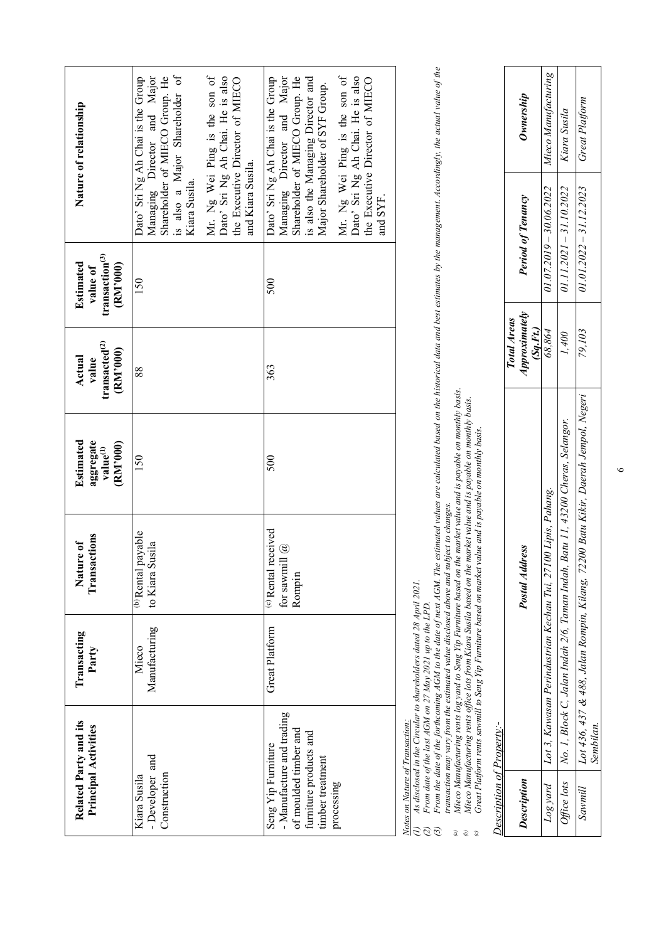| Related Party and its<br><b>Principal Activities</b>                                                                 | Transacting<br>Party   | Transactions<br>Nature of                                   | Estimated<br>aggregate<br>(RM'000)<br>value <sup>(1)</sup> | transacted <sup>(2)</sup><br>(RM'000)<br>Actual<br>value | transaction <sup>(3)</sup><br>Estimated<br>(RM'000)<br>value of | Nature of relationship                                                                                                                                                     |
|----------------------------------------------------------------------------------------------------------------------|------------------------|-------------------------------------------------------------|------------------------------------------------------------|----------------------------------------------------------|-----------------------------------------------------------------|----------------------------------------------------------------------------------------------------------------------------------------------------------------------------|
| - Developer and<br>Construction<br>Kiara Susila                                                                      | Manufacturing<br>Mieco | (b) Rental payable<br>to Kiara Susila                       | 150                                                        | 88                                                       | 150                                                             | is also a Major Shareholder of<br>Shareholder of MIECO Group. He<br>Dato' Sri Ng Ah Chai is the Group<br>Managing Director and Major<br>Kiara Susila.                      |
|                                                                                                                      |                        |                                                             |                                                            |                                                          |                                                                 | Mr. Ng Wei Ping is the son of<br>Dato' Sri Ng Ah Chai. He is also<br>the Executive Director of MIECO<br>and Kiara Susila.                                                  |
| Manufacture and trading<br>of moulded timber and<br>furniture products and<br>Seng Yip Furniture<br>timber treatment | <b>Great Platform</b>  | eceived<br>$\Xi(a)$<br>for sawmil<br>(c) Rental r<br>Rompin | 500                                                        | 363                                                      | 500                                                             | Dato' Sri Ng Ah Chai is the Group<br>Shareholder of MIECO Group. He<br>Managing Director and Major<br>is also the Managing Director and<br>Major Shareholder of SYF Group. |
|                                                                                                                      |                        |                                                             |                                                            |                                                          |                                                                 | Mr. Ng Wei Ping is the son of<br>Dato' Sri Ng Ah Chai. He is also<br>the Executive Director of MIECO<br>and SYF.                                                           |

*Notes on Nature of Transaction:* 

*(1) As disclosed in the Circular to shareholders dated 28 April 2021.*

*(2) From date of the last AGM on 27 May 2021 up to the LPD.*

As disclosed in the Circular to shareholders dated 28 April 2021.<br>From date of the last AGM on 27 May 2021 up to the LPD.<br>From the date of the forthcoming AGM to the date of next AGM. The estimated values are calculated ba *(3) From the date of the forthcoming AGM to the date of next AGM. The estimated values are calculated based on the historical data and best estimates by the management. Accordingly, the actual value of the transaction may vary from the estimated value disclosed above and subject to changes.* Notes on Nature of Transaction:<br>(1) As disclosed in the Circular t<br>(2) From date of the last AGM o.<br>(3) From the date of the forthcon

*(a) Mieco Manufacturing rents log yard to Seng Yip Furniture based on the market value and is payable on monthly basis.*  $\hat{a}$ 

*(b) Mieco Manufacturing rents office lots from Kiara Susila based on the market value and is payable on monthly basis.*   $\phi$ 

*(c) Great Platform rents sawmill to Seng Yip Furniture based on market value and is payable on monthly basis.*  $\hat{e}$ 

# Description of Property:-*Description of Property:-*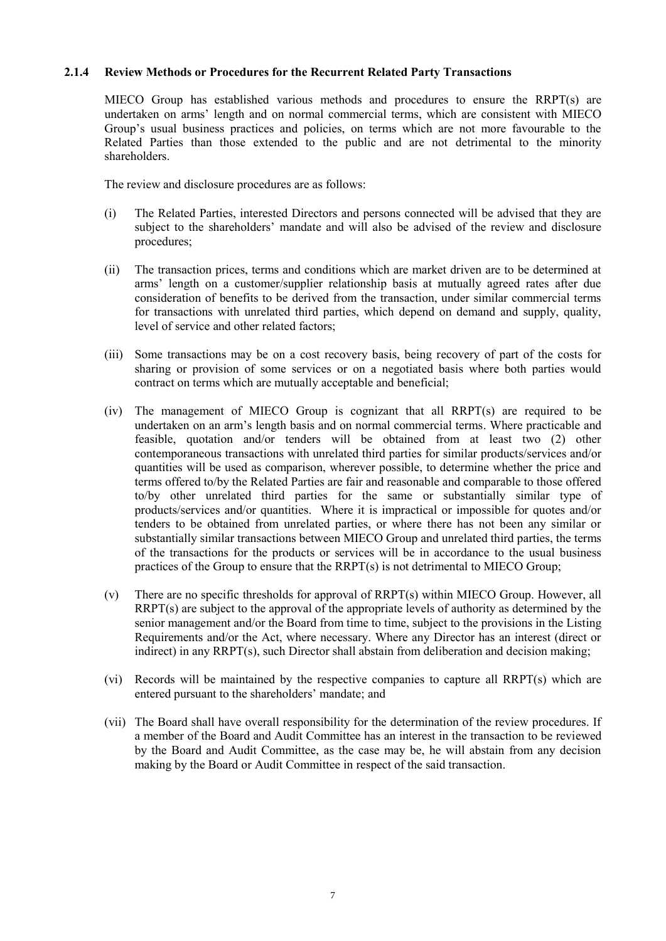#### **2.1.4 Review Methods or Procedures for the Recurrent Related Party Transactions**

MIECO Group has established various methods and procedures to ensure the RRPT(s) are undertaken on arms' length and on normal commercial terms, which are consistent with MIECO Group's usual business practices and policies, on terms which are not more favourable to the Related Parties than those extended to the public and are not detrimental to the minority shareholders.

The review and disclosure procedures are as follows:

- (i) The Related Parties, interested Directors and persons connected will be advised that they are subject to the shareholders' mandate and will also be advised of the review and disclosure procedures;
- (ii) The transaction prices, terms and conditions which are market driven are to be determined at arms' length on a customer/supplier relationship basis at mutually agreed rates after due consideration of benefits to be derived from the transaction, under similar commercial terms for transactions with unrelated third parties, which depend on demand and supply, quality, level of service and other related factors;
- (iii) Some transactions may be on a cost recovery basis, being recovery of part of the costs for sharing or provision of some services or on a negotiated basis where both parties would contract on terms which are mutually acceptable and beneficial;
- (iv) The management of MIECO Group is cognizant that all RRPT(s) are required to be undertaken on an arm's length basis and on normal commercial terms. Where practicable and feasible, quotation and/or tenders will be obtained from at least two (2) other contemporaneous transactions with unrelated third parties for similar products/services and/or quantities will be used as comparison, wherever possible, to determine whether the price and terms offered to/by the Related Parties are fair and reasonable and comparable to those offered to/by other unrelated third parties for the same or substantially similar type of products/services and/or quantities. Where it is impractical or impossible for quotes and/or tenders to be obtained from unrelated parties, or where there has not been any similar or substantially similar transactions between MIECO Group and unrelated third parties, the terms of the transactions for the products or services will be in accordance to the usual business practices of the Group to ensure that the RRPT(s) is not detrimental to MIECO Group;
- (v) There are no specific thresholds for approval of RRPT(s) within MIECO Group. However, all RRPT(s) are subject to the approval of the appropriate levels of authority as determined by the senior management and/or the Board from time to time, subject to the provisions in the Listing Requirements and/or the Act, where necessary. Where any Director has an interest (direct or indirect) in any RRPT(s), such Director shall abstain from deliberation and decision making;
- (vi) Records will be maintained by the respective companies to capture all RRPT(s) which are entered pursuant to the shareholders' mandate; and
- (vii) The Board shall have overall responsibility for the determination of the review procedures. If a member of the Board and Audit Committee has an interest in the transaction to be reviewed by the Board and Audit Committee, as the case may be, he will abstain from any decision making by the Board or Audit Committee in respect of the said transaction.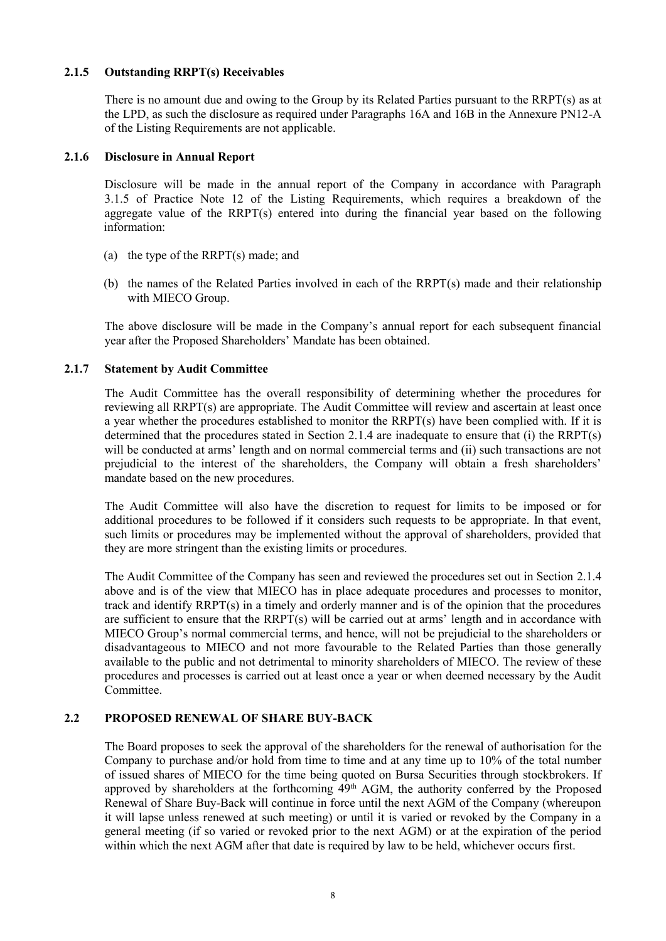#### **2.1.5 Outstanding RRPT(s) Receivables**

There is no amount due and owing to the Group by its Related Parties pursuant to the RRPT(s) as at the LPD, as such the disclosure as required under Paragraphs 16A and 16B in the Annexure PN12-A of the Listing Requirements are not applicable.

#### **2.1.6 Disclosure in Annual Report**

Disclosure will be made in the annual report of the Company in accordance with Paragraph 3.1.5 of Practice Note 12 of the Listing Requirements, which requires a breakdown of the aggregate value of the RRPT(s) entered into during the financial year based on the following information:

- (a) the type of the RRPT(s) made; and
- (b) the names of the Related Parties involved in each of the RRPT(s) made and their relationship with MIECO Group.

The above disclosure will be made in the Company's annual report for each subsequent financial year after the Proposed Shareholders' Mandate has been obtained.

#### **2.1.7 Statement by Audit Committee**

The Audit Committee has the overall responsibility of determining whether the procedures for reviewing all RRPT(s) are appropriate. The Audit Committee will review and ascertain at least once a year whether the procedures established to monitor the RRPT(s) have been complied with. If it is determined that the procedures stated in Section 2.1.4 are inadequate to ensure that (i) the RRPT(s) will be conducted at arms' length and on normal commercial terms and (ii) such transactions are not prejudicial to the interest of the shareholders, the Company will obtain a fresh shareholders' mandate based on the new procedures.

The Audit Committee will also have the discretion to request for limits to be imposed or for additional procedures to be followed if it considers such requests to be appropriate. In that event, such limits or procedures may be implemented without the approval of shareholders, provided that they are more stringent than the existing limits or procedures.

The Audit Committee of the Company has seen and reviewed the procedures set out in Section 2.1.4 above and is of the view that MIECO has in place adequate procedures and processes to monitor, track and identify RRPT(s) in a timely and orderly manner and is of the opinion that the procedures are sufficient to ensure that the RRPT(s) will be carried out at arms' length and in accordance with MIECO Group's normal commercial terms, and hence, will not be prejudicial to the shareholders or disadvantageous to MIECO and not more favourable to the Related Parties than those generally available to the public and not detrimental to minority shareholders of MIECO. The review of these procedures and processes is carried out at least once a year or when deemed necessary by the Audit Committee.

# **2.2 PROPOSED RENEWAL OF SHARE BUY-BACK**

The Board proposes to seek the approval of the shareholders for the renewal of authorisation for the Company to purchase and/or hold from time to time and at any time up to 10% of the total number of issued shares of MIECO for the time being quoted on Bursa Securities through stockbrokers. If approved by shareholders at the forthcoming  $49<sup>th</sup>$  AGM, the authority conferred by the Proposed Renewal of Share Buy-Back will continue in force until the next AGM of the Company (whereupon it will lapse unless renewed at such meeting) or until it is varied or revoked by the Company in a general meeting (if so varied or revoked prior to the next AGM) or at the expiration of the period within which the next AGM after that date is required by law to be held, whichever occurs first.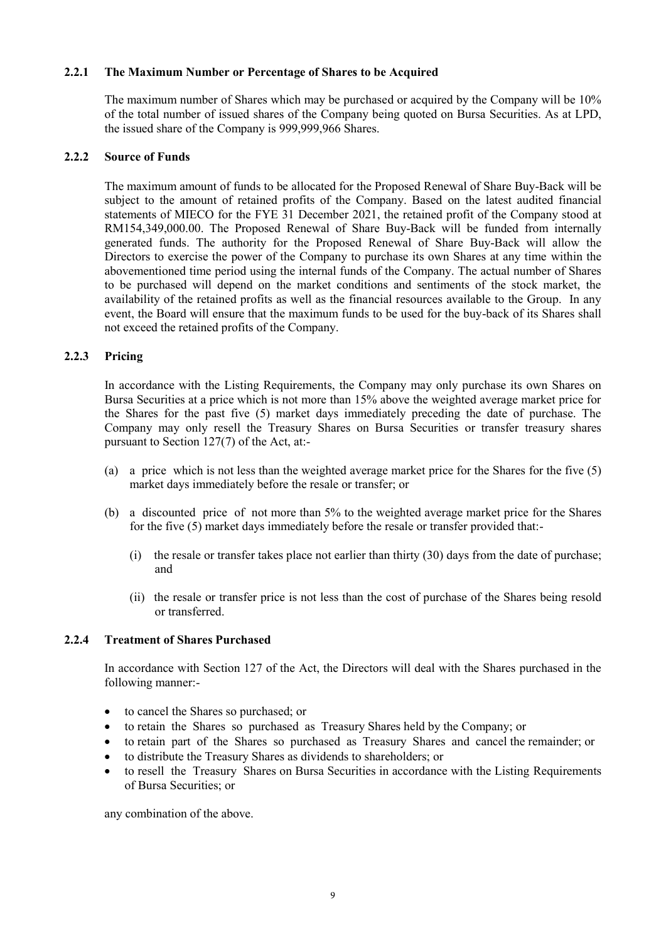#### **2.2.1 The Maximum Number or Percentage of Shares to be Acquired**

The maximum number of Shares which may be purchased or acquired by the Company will be 10% of the total number of issued shares of the Company being quoted on Bursa Securities. As at LPD, the issued share of the Company is 999,999,966 Shares.

#### **2.2.2 Source of Funds**

The maximum amount of funds to be allocated for the Proposed Renewal of Share Buy-Back will be subject to the amount of retained profits of the Company. Based on the latest audited financial statements of MIECO for the FYE 31 December 2021, the retained profit of the Company stood at RM154,349,000.00. The Proposed Renewal of Share Buy-Back will be funded from internally generated funds. The authority for the Proposed Renewal of Share Buy-Back will allow the Directors to exercise the power of the Company to purchase its own Shares at any time within the abovementioned time period using the internal funds of the Company. The actual number of Shares to be purchased will depend on the market conditions and sentiments of the stock market, the availability of the retained profits as well as the financial resources available to the Group. In any event, the Board will ensure that the maximum funds to be used for the buy-back of its Shares shall not exceed the retained profits of the Company.

#### **2.2.3 Pricing**

In accordance with the Listing Requirements, the Company may only purchase its own Shares on Bursa Securities at a price which is not more than 15% above the weighted average market price for the Shares for the past five (5) market days immediately preceding the date of purchase. The Company may only resell the Treasury Shares on Bursa Securities or transfer treasury shares pursuant to Section 127(7) of the Act, at:-

- (a) a price which is not less than the weighted average market price for the Shares for the five (5) market days immediately before the resale or transfer; or
- (b) a discounted price of not more than 5% to the weighted average market price for the Shares for the five (5) market days immediately before the resale or transfer provided that:-
	- (i) the resale or transfer takes place not earlier than thirty (30) days from the date of purchase; and
	- (ii) the resale or transfer price is not less than the cost of purchase of the Shares being resold or transferred.

#### **2.2.4 Treatment of Shares Purchased**

In accordance with Section 127 of the Act, the Directors will deal with the Shares purchased in the following manner:-

- to cancel the Shares so purchased; or
- to retain the Shares so purchased as Treasury Shares held by the Company; or
- to retain part of the Shares so purchased as Treasury Shares and cancel the remainder; or
- to distribute the Treasury Shares as dividends to shareholders; or
- to resell the Treasury Shares on Bursa Securities in accordance with the Listing Requirements of Bursa Securities; or

any combination of the above.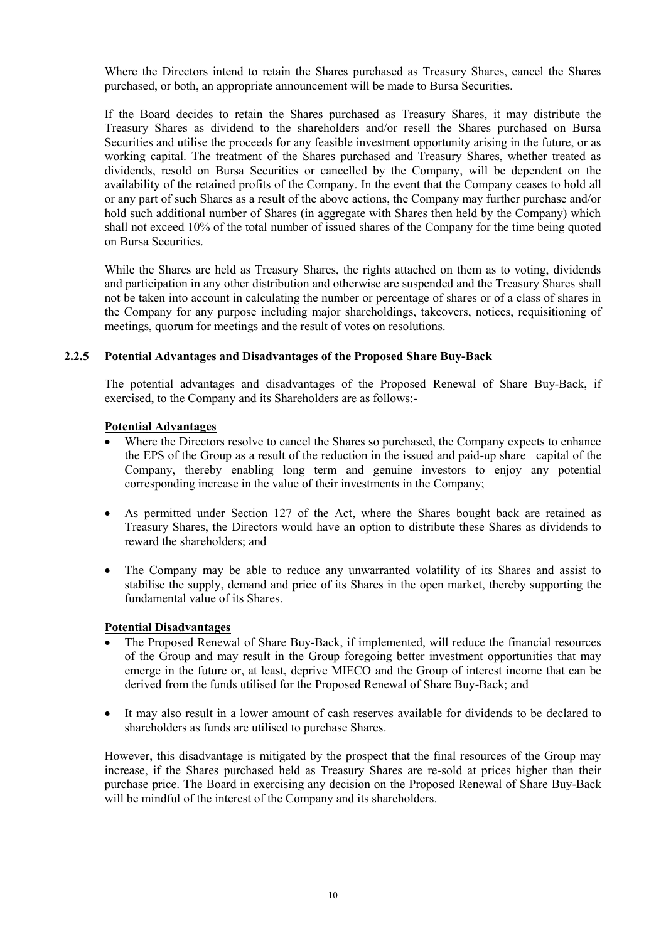Where the Directors intend to retain the Shares purchased as Treasury Shares, cancel the Shares purchased, or both, an appropriate announcement will be made to Bursa Securities.

If the Board decides to retain the Shares purchased as Treasury Shares, it may distribute the Treasury Shares as dividend to the shareholders and/or resell the Shares purchased on Bursa Securities and utilise the proceeds for any feasible investment opportunity arising in the future, or as working capital. The treatment of the Shares purchased and Treasury Shares, whether treated as dividends, resold on Bursa Securities or cancelled by the Company, will be dependent on the availability of the retained profits of the Company. In the event that the Company ceases to hold all or any part of such Shares as a result of the above actions, the Company may further purchase and/or hold such additional number of Shares (in aggregate with Shares then held by the Company) which shall not exceed 10% of the total number of issued shares of the Company for the time being quoted on Bursa Securities.

While the Shares are held as Treasury Shares, the rights attached on them as to voting, dividends and participation in any other distribution and otherwise are suspended and the Treasury Shares shall not be taken into account in calculating the number or percentage of shares or of a class of shares in the Company for any purpose including major shareholdings, takeovers, notices, requisitioning of meetings, quorum for meetings and the result of votes on resolutions.

#### **2.2.5 Potential Advantages and Disadvantages of the Proposed Share Buy-Back**

The potential advantages and disadvantages of the Proposed Renewal of Share Buy-Back, if exercised, to the Company and its Shareholders are as follows:-

#### **Potential Advantages**

- Where the Directors resolve to cancel the Shares so purchased, the Company expects to enhance the EPS of the Group as a result of the reduction in the issued and paid-up share capital of the Company, thereby enabling long term and genuine investors to enjoy any potential corresponding increase in the value of their investments in the Company;
- As permitted under Section 127 of the Act, where the Shares bought back are retained as Treasury Shares, the Directors would have an option to distribute these Shares as dividends to reward the shareholders; and
- The Company may be able to reduce any unwarranted volatility of its Shares and assist to stabilise the supply, demand and price of its Shares in the open market, thereby supporting the fundamental value of its Shares.

#### **Potential Disadvantages**

- The Proposed Renewal of Share Buy-Back, if implemented, will reduce the financial resources of the Group and may result in the Group foregoing better investment opportunities that may emerge in the future or, at least, deprive MIECO and the Group of interest income that can be derived from the funds utilised for the Proposed Renewal of Share Buy-Back; and
- It may also result in a lower amount of cash reserves available for dividends to be declared to shareholders as funds are utilised to purchase Shares.

However, this disadvantage is mitigated by the prospect that the final resources of the Group may increase, if the Shares purchased held as Treasury Shares are re-sold at prices higher than their purchase price. The Board in exercising any decision on the Proposed Renewal of Share Buy-Back will be mindful of the interest of the Company and its shareholders.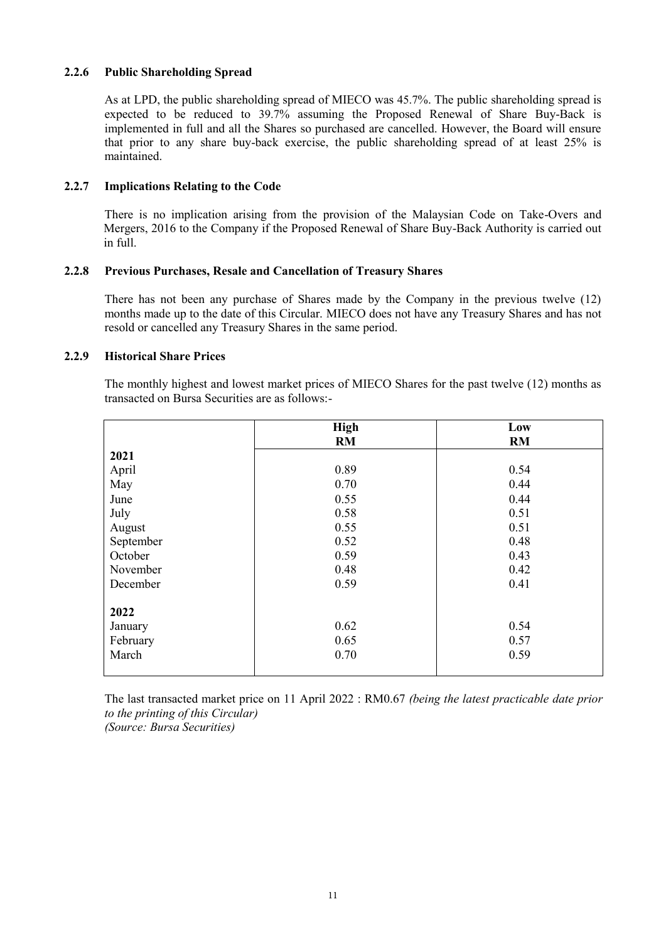#### **2.2.6 Public Shareholding Spread**

As at LPD, the public shareholding spread of MIECO was 45.7%. The public shareholding spread is expected to be reduced to 39.7% assuming the Proposed Renewal of Share Buy-Back is implemented in full and all the Shares so purchased are cancelled. However, the Board will ensure that prior to any share buy-back exercise, the public shareholding spread of at least 25% is maintained.

#### **2.2.7 Implications Relating to the Code**

 There is no implication arising from the provision of the Malaysian Code on Take-Overs and Mergers, 2016 to the Company if the Proposed Renewal of Share Buy-Back Authority is carried out in full.

#### **2.2.8 Previous Purchases, Resale and Cancellation of Treasury Shares**

There has not been any purchase of Shares made by the Company in the previous twelve (12) months made up to the date of this Circular. MIECO does not have any Treasury Shares and has not resold or cancelled any Treasury Shares in the same period.

#### **2.2.9 Historical Share Prices**

The monthly highest and lowest market prices of MIECO Shares for the past twelve (12) months as transacted on Bursa Securities are as follows:-

|           | <b>High</b> | Low       |
|-----------|-------------|-----------|
|           | RM          | <b>RM</b> |
| 2021      |             |           |
| April     | 0.89        | 0.54      |
| May       | 0.70        | 0.44      |
| June      | 0.55        | 0.44      |
| July      | 0.58        | 0.51      |
| August    | 0.55        | 0.51      |
| September | 0.52        | 0.48      |
| October   | 0.59        | 0.43      |
| November  | 0.48        | 0.42      |
| December  | 0.59        | 0.41      |
| 2022      |             |           |
| January   | 0.62        | 0.54      |
| February  | 0.65        | 0.57      |
| March     | 0.70        | 0.59      |
|           |             |           |

The last transacted market price on 11 April 2022 : RM0.67 *(being the latest practicable date prior to the printing of this Circular) (Source: Bursa Securities)*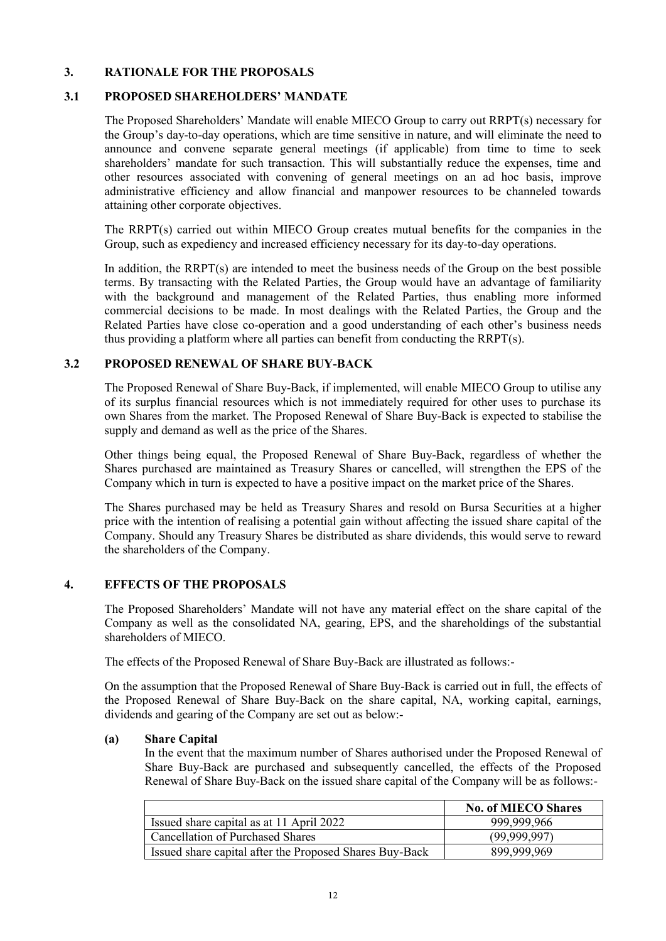#### **3. RATIONALE FOR THE PROPOSALS**

#### **3.1 PROPOSED SHAREHOLDERS' MANDATE**

The Proposed Shareholders' Mandate will enable MIECO Group to carry out RRPT(s) necessary for the Group's day-to-day operations, which are time sensitive in nature, and will eliminate the need to announce and convene separate general meetings (if applicable) from time to time to seek shareholders' mandate for such transaction. This will substantially reduce the expenses, time and other resources associated with convening of general meetings on an ad hoc basis, improve administrative efficiency and allow financial and manpower resources to be channeled towards attaining other corporate objectives.

The RRPT(s) carried out within MIECO Group creates mutual benefits for the companies in the Group, such as expediency and increased efficiency necessary for its day-to-day operations.

In addition, the RRPT(s) are intended to meet the business needs of the Group on the best possible terms. By transacting with the Related Parties, the Group would have an advantage of familiarity with the background and management of the Related Parties, thus enabling more informed commercial decisions to be made. In most dealings with the Related Parties, the Group and the Related Parties have close co-operation and a good understanding of each other's business needs thus providing a platform where all parties can benefit from conducting the RRPT(s).

#### **3.2 PROPOSED RENEWAL OF SHARE BUY-BACK**

The Proposed Renewal of Share Buy-Back, if implemented, will enable MIECO Group to utilise any of its surplus financial resources which is not immediately required for other uses to purchase its own Shares from the market. The Proposed Renewal of Share Buy-Back is expected to stabilise the supply and demand as well as the price of the Shares.

Other things being equal, the Proposed Renewal of Share Buy-Back, regardless of whether the Shares purchased are maintained as Treasury Shares or cancelled, will strengthen the EPS of the Company which in turn is expected to have a positive impact on the market price of the Shares.

The Shares purchased may be held as Treasury Shares and resold on Bursa Securities at a higher price with the intention of realising a potential gain without affecting the issued share capital of the Company. Should any Treasury Shares be distributed as share dividends, this would serve to reward the shareholders of the Company.

#### **4. EFFECTS OF THE PROPOSALS**

The Proposed Shareholders' Mandate will not have any material effect on the share capital of the Company as well as the consolidated NA, gearing, EPS, and the shareholdings of the substantial shareholders of MIECO.

The effects of the Proposed Renewal of Share Buy-Back are illustrated as follows:-

On the assumption that the Proposed Renewal of Share Buy-Back is carried out in full, the effects of the Proposed Renewal of Share Buy-Back on the share capital, NA, working capital, earnings, dividends and gearing of the Company are set out as below:-

#### **(a) Share Capital**

In the event that the maximum number of Shares authorised under the Proposed Renewal of Share Buy-Back are purchased and subsequently cancelled, the effects of the Proposed Renewal of Share Buy-Back on the issued share capital of the Company will be as follows:-

|                                                         | <b>No. of MIECO Shares</b> |
|---------------------------------------------------------|----------------------------|
| Issued share capital as at 11 April 2022                | 999,999,966                |
| Cancellation of Purchased Shares                        | (99,999,997)               |
| Issued share capital after the Proposed Shares Buy-Back | 899,999,969                |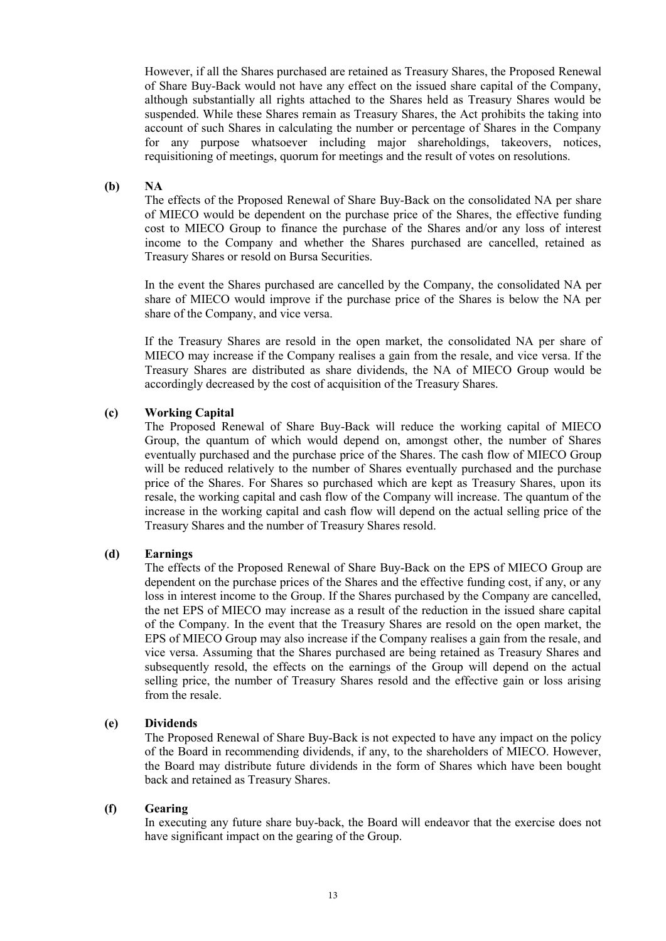However, if all the Shares purchased are retained as Treasury Shares, the Proposed Renewal of Share Buy-Back would not have any effect on the issued share capital of the Company, although substantially all rights attached to the Shares held as Treasury Shares would be suspended. While these Shares remain as Treasury Shares, the Act prohibits the taking into account of such Shares in calculating the number or percentage of Shares in the Company for any purpose whatsoever including major shareholdings, takeovers, notices, requisitioning of meetings, quorum for meetings and the result of votes on resolutions.

#### **(b) NA**

The effects of the Proposed Renewal of Share Buy-Back on the consolidated NA per share of MIECO would be dependent on the purchase price of the Shares, the effective funding cost to MIECO Group to finance the purchase of the Shares and/or any loss of interest income to the Company and whether the Shares purchased are cancelled, retained as Treasury Shares or resold on Bursa Securities.

In the event the Shares purchased are cancelled by the Company, the consolidated NA per share of MIECO would improve if the purchase price of the Shares is below the NA per share of the Company, and vice versa.

If the Treasury Shares are resold in the open market, the consolidated NA per share of MIECO may increase if the Company realises a gain from the resale, and vice versa. If the Treasury Shares are distributed as share dividends, the NA of MIECO Group would be accordingly decreased by the cost of acquisition of the Treasury Shares.

#### **(c) Working Capital**

The Proposed Renewal of Share Buy-Back will reduce the working capital of MIECO Group, the quantum of which would depend on, amongst other, the number of Shares eventually purchased and the purchase price of the Shares. The cash flow of MIECO Group will be reduced relatively to the number of Shares eventually purchased and the purchase price of the Shares. For Shares so purchased which are kept as Treasury Shares, upon its resale, the working capital and cash flow of the Company will increase. The quantum of the increase in the working capital and cash flow will depend on the actual selling price of the Treasury Shares and the number of Treasury Shares resold.

#### **(d) Earnings**

The effects of the Proposed Renewal of Share Buy-Back on the EPS of MIECO Group are dependent on the purchase prices of the Shares and the effective funding cost, if any, or any loss in interest income to the Group. If the Shares purchased by the Company are cancelled, the net EPS of MIECO may increase as a result of the reduction in the issued share capital of the Company. In the event that the Treasury Shares are resold on the open market, the EPS of MIECO Group may also increase if the Company realises a gain from the resale, and vice versa. Assuming that the Shares purchased are being retained as Treasury Shares and subsequently resold, the effects on the earnings of the Group will depend on the actual selling price, the number of Treasury Shares resold and the effective gain or loss arising from the resale.

#### **(e) Dividends**

The Proposed Renewal of Share Buy-Back is not expected to have any impact on the policy of the Board in recommending dividends, if any, to the shareholders of MIECO. However, the Board may distribute future dividends in the form of Shares which have been bought back and retained as Treasury Shares.

#### **(f) Gearing**

In executing any future share buy-back, the Board will endeavor that the exercise does not have significant impact on the gearing of the Group.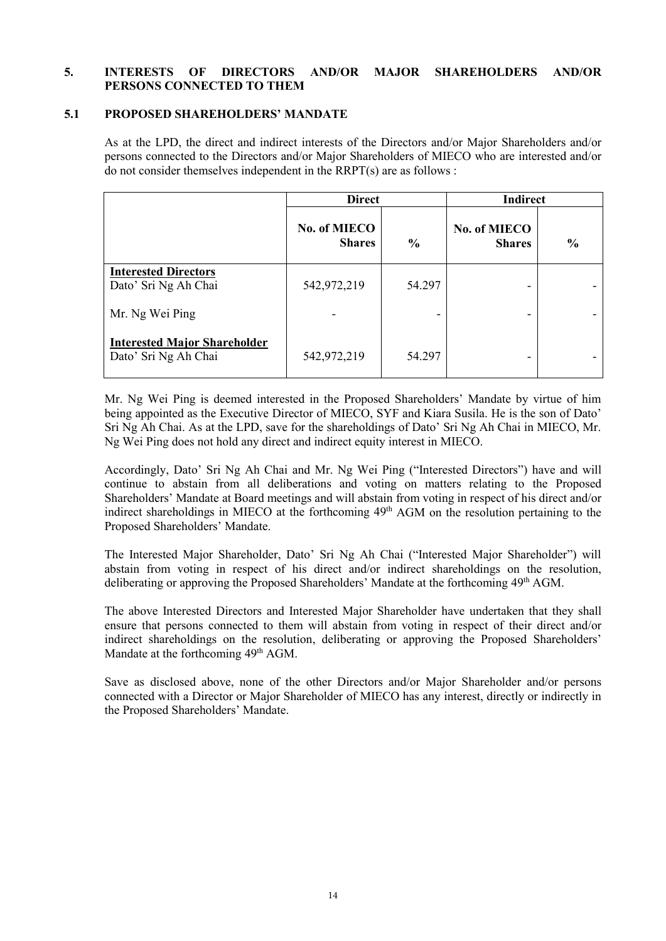#### **5. INTERESTS OF DIRECTORS AND/OR MAJOR SHAREHOLDERS AND/OR PERSONS CONNECTED TO THEM**

#### **5.1 PROPOSED SHAREHOLDERS' MANDATE**

As at the LPD, the direct and indirect interests of the Directors and/or Major Shareholders and/or persons connected to the Directors and/or Major Shareholders of MIECO who are interested and/or do not consider themselves independent in the RRPT(s) are as follows :

|                                                             | <b>Direct</b>                 |               | <b>Indirect</b>               |               |
|-------------------------------------------------------------|-------------------------------|---------------|-------------------------------|---------------|
|                                                             | No. of MIECO<br><b>Shares</b> | $\frac{0}{0}$ | No. of MIECO<br><b>Shares</b> | $\frac{0}{0}$ |
| <b>Interested Directors</b><br>Dato' Sri Ng Ah Chai         | 542,972,219                   | 54.297        |                               |               |
| Mr. Ng Wei Ping                                             |                               | -             |                               |               |
| <b>Interested Major Shareholder</b><br>Dato' Sri Ng Ah Chai | 542,972,219                   | 54.297        |                               |               |

Mr. Ng Wei Ping is deemed interested in the Proposed Shareholders' Mandate by virtue of him being appointed as the Executive Director of MIECO, SYF and Kiara Susila. He is the son of Dato' Sri Ng Ah Chai. As at the LPD, save for the shareholdings of Dato' Sri Ng Ah Chai in MIECO, Mr. Ng Wei Ping does not hold any direct and indirect equity interest in MIECO.

Accordingly, Dato' Sri Ng Ah Chai and Mr. Ng Wei Ping ("Interested Directors") have and will continue to abstain from all deliberations and voting on matters relating to the Proposed Shareholders' Mandate at Board meetings and will abstain from voting in respect of his direct and/or indirect shareholdings in MIECO at the forthcoming 49<sup>th</sup> AGM on the resolution pertaining to the Proposed Shareholders' Mandate.

The Interested Major Shareholder, Dato' Sri Ng Ah Chai ("Interested Major Shareholder") will abstain from voting in respect of his direct and/or indirect shareholdings on the resolution, deliberating or approving the Proposed Shareholders' Mandate at the forthcoming 49<sup>th</sup> AGM.

The above Interested Directors and Interested Major Shareholder have undertaken that they shall ensure that persons connected to them will abstain from voting in respect of their direct and/or indirect shareholdings on the resolution, deliberating or approving the Proposed Shareholders' Mandate at the forthcoming 49<sup>th</sup> AGM.

Save as disclosed above, none of the other Directors and/or Major Shareholder and/or persons connected with a Director or Major Shareholder of MIECO has any interest, directly or indirectly in the Proposed Shareholders' Mandate.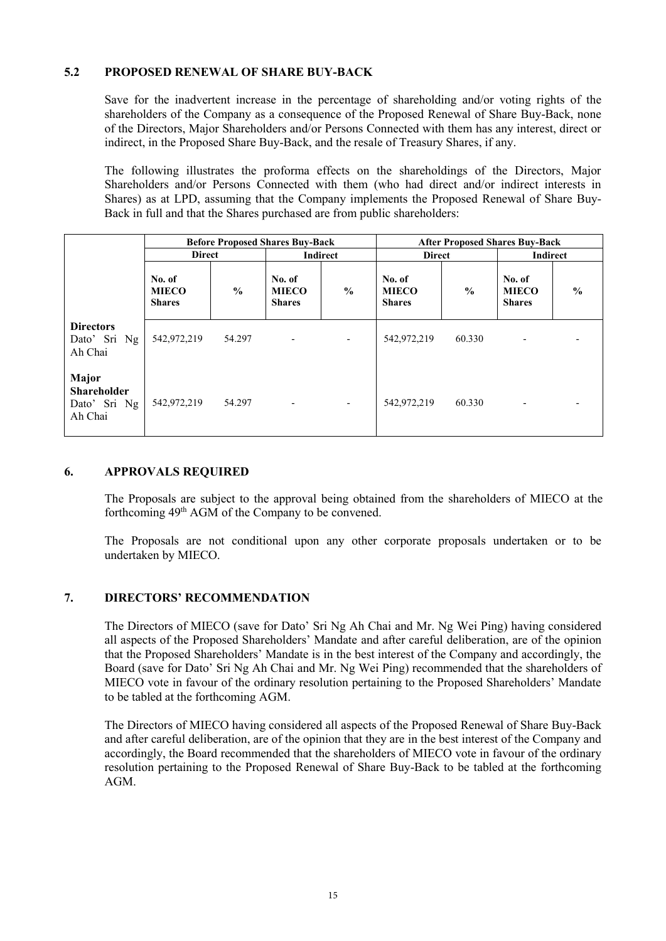# **5.2 PROPOSED RENEWAL OF SHARE BUY-BACK**

Save for the inadvertent increase in the percentage of shareholding and/or voting rights of the shareholders of the Company as a consequence of the Proposed Renewal of Share Buy-Back, none of the Directors, Major Shareholders and/or Persons Connected with them has any interest, direct or indirect, in the Proposed Share Buy-Back, and the resale of Treasury Shares, if any.

The following illustrates the proforma effects on the shareholdings of the Directors, Major Shareholders and/or Persons Connected with them (who had direct and/or indirect interests in Shares) as at LPD, assuming that the Company implements the Proposed Renewal of Share Buy-Back in full and that the Shares purchased are from public shareholders:

|                                                        |                                         |               | <b>Before Proposed Shares Buy-Back</b>  |                          | <b>After Proposed Shares Buy-Back</b>   |               |                                         |               |
|--------------------------------------------------------|-----------------------------------------|---------------|-----------------------------------------|--------------------------|-----------------------------------------|---------------|-----------------------------------------|---------------|
|                                                        | <b>Direct</b>                           |               |                                         | <b>Indirect</b>          | <b>Direct</b>                           |               | Indirect                                |               |
|                                                        | No. of<br><b>MIECO</b><br><b>Shares</b> | $\frac{0}{0}$ | No. of<br><b>MIECO</b><br><b>Shares</b> | $\frac{0}{0}$            | No. of<br><b>MIECO</b><br><b>Shares</b> | $\frac{6}{6}$ | No. of<br><b>MIECO</b><br><b>Shares</b> | $\frac{0}{0}$ |
| <b>Directors</b><br>Dato' Sri Ng<br>Ah Chai            | 542,972,219                             | 54.297        | $\overline{\phantom{a}}$                | $\overline{\phantom{a}}$ | 542,972,219                             | 60.330        |                                         |               |
| Major<br><b>Shareholder</b><br>Dato' Sri Ng<br>Ah Chai | 542,972,219                             | 54.297        | $\overline{\phantom{a}}$                | $\overline{\phantom{a}}$ | 542,972,219                             | 60.330        |                                         |               |

#### **6. APPROVALS REQUIRED**

The Proposals are subject to the approval being obtained from the shareholders of MIECO at the forthcoming 49th AGM of the Company to be convened.

The Proposals are not conditional upon any other corporate proposals undertaken or to be undertaken by MIECO.

#### **7. DIRECTORS' RECOMMENDATION**

The Directors of MIECO (save for Dato' Sri Ng Ah Chai and Mr. Ng Wei Ping) having considered all aspects of the Proposed Shareholders' Mandate and after careful deliberation, are of the opinion that the Proposed Shareholders' Mandate is in the best interest of the Company and accordingly, the Board (save for Dato' Sri Ng Ah Chai and Mr. Ng Wei Ping) recommended that the shareholders of MIECO vote in favour of the ordinary resolution pertaining to the Proposed Shareholders' Mandate to be tabled at the forthcoming AGM.

The Directors of MIECO having considered all aspects of the Proposed Renewal of Share Buy-Back and after careful deliberation, are of the opinion that they are in the best interest of the Company and accordingly, the Board recommended that the shareholders of MIECO vote in favour of the ordinary resolution pertaining to the Proposed Renewal of Share Buy-Back to be tabled at the forthcoming AGM.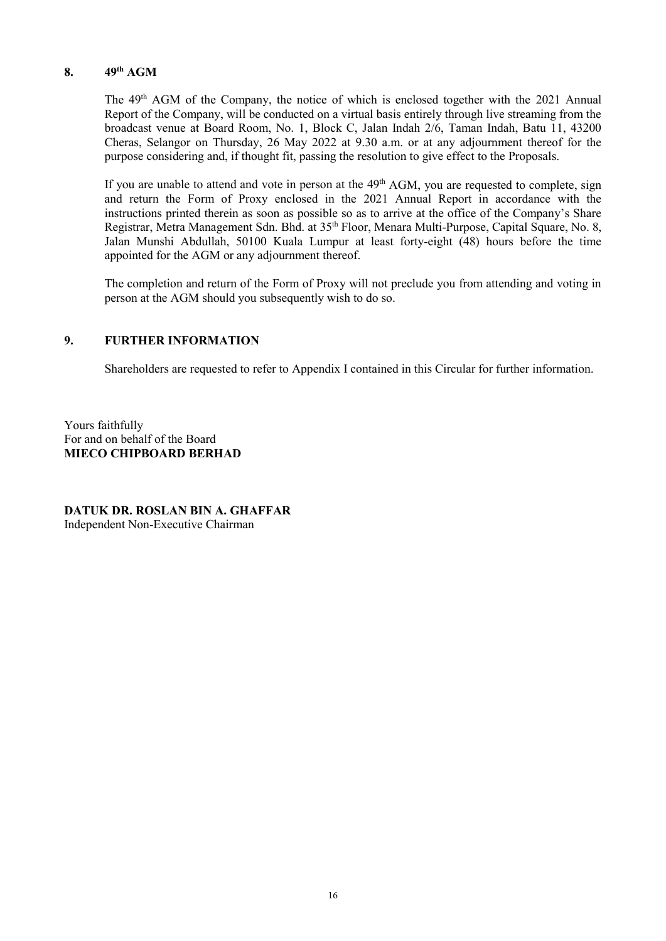# **8. 49th AGM**

The 49<sup>th</sup> AGM of the Company, the notice of which is enclosed together with the 2021 Annual Report of the Company, will be conducted on a virtual basis entirely through live streaming from the broadcast venue at Board Room, No. 1, Block C, Jalan Indah 2/6, Taman Indah, Batu 11, 43200 Cheras, Selangor on Thursday, 26 May 2022 at 9.30 a.m. or at any adjournment thereof for the purpose considering and, if thought fit, passing the resolution to give effect to the Proposals.

If you are unable to attend and vote in person at the  $49<sup>th</sup>$  AGM, you are requested to complete, sign and return the Form of Proxy enclosed in the 2021 Annual Report in accordance with the instructions printed therein as soon as possible so as to arrive at the office of the Company's Share Registrar, Metra Management Sdn. Bhd. at 35<sup>th</sup> Floor, Menara Multi-Purpose, Capital Square, No. 8, Jalan Munshi Abdullah, 50100 Kuala Lumpur at least forty-eight (48) hours before the time appointed for the AGM or any adjournment thereof.

The completion and return of the Form of Proxy will not preclude you from attending and voting in person at the AGM should you subsequently wish to do so.

#### **9. FURTHER INFORMATION**

Shareholders are requested to refer to Appendix I contained in this Circular for further information.

Yours faithfully For and on behalf of the Board **MIECO CHIPBOARD BERHAD** 

**DATUK DR. ROSLAN BIN A. GHAFFAR** Independent Non-Executive Chairman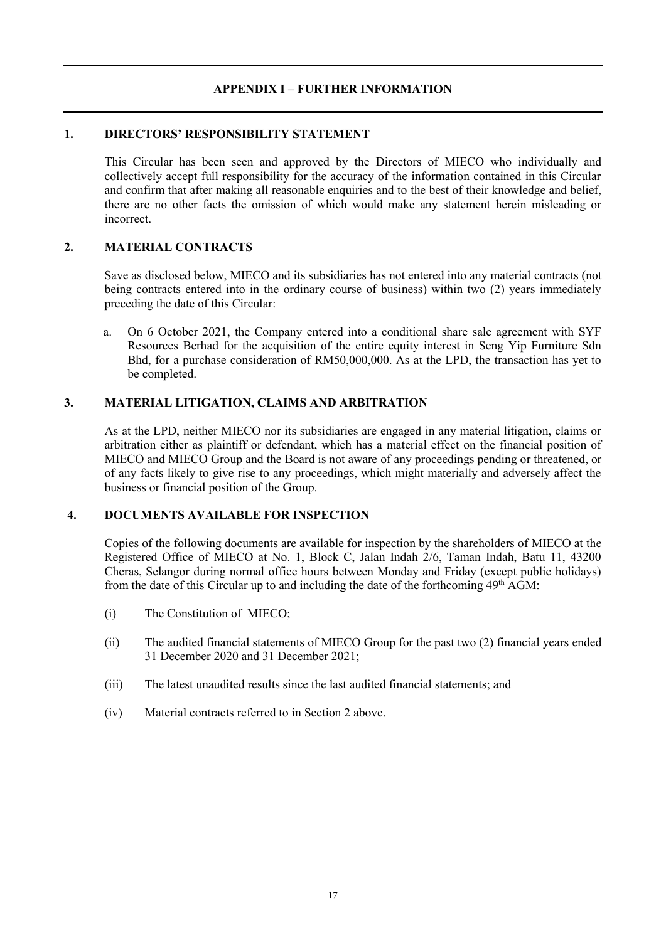# **APPENDIX I – FURTHER INFORMATION**

#### **1. DIRECTORS' RESPONSIBILITY STATEMENT**

 This Circular has been seen and approved by the Directors of MIECO who individually and collectively accept full responsibility for the accuracy of the information contained in this Circular and confirm that after making all reasonable enquiries and to the best of their knowledge and belief, there are no other facts the omission of which would make any statement herein misleading or incorrect.

#### **2. MATERIAL CONTRACTS**

Save as disclosed below, MIECO and its subsidiaries has not entered into any material contracts (not being contracts entered into in the ordinary course of business) within two (2) years immediately preceding the date of this Circular:

a. On 6 October 2021, the Company entered into a conditional share sale agreement with SYF Resources Berhad for the acquisition of the entire equity interest in Seng Yip Furniture Sdn Bhd, for a purchase consideration of RM50,000,000. As at the LPD, the transaction has yet to be completed.

#### **3. MATERIAL LITIGATION, CLAIMS AND ARBITRATION**

As at the LPD, neither MIECO nor its subsidiaries are engaged in any material litigation, claims or arbitration either as plaintiff or defendant, which has a material effect on the financial position of MIECO and MIECO Group and the Board is not aware of any proceedings pending or threatened, or of any facts likely to give rise to any proceedings, which might materially and adversely affect the business or financial position of the Group.

#### **4. DOCUMENTS AVAILABLE FOR INSPECTION**

Copies of the following documents are available for inspection by the shareholders of MIECO at the Registered Office of MIECO at No. 1, Block C, Jalan Indah 2/6, Taman Indah, Batu 11, 43200 Cheras, Selangor during normal office hours between Monday and Friday (except public holidays) from the date of this Circular up to and including the date of the forthcoming  $49<sup>th</sup>$  AGM:

- (i) The Constitution of MIECO;
- (ii) The audited financial statements of MIECO Group for the past two (2) financial years ended 31 December 2020 and 31 December 2021;
- (iii) The latest unaudited results since the last audited financial statements; and
- (iv) Material contracts referred to in Section 2 above.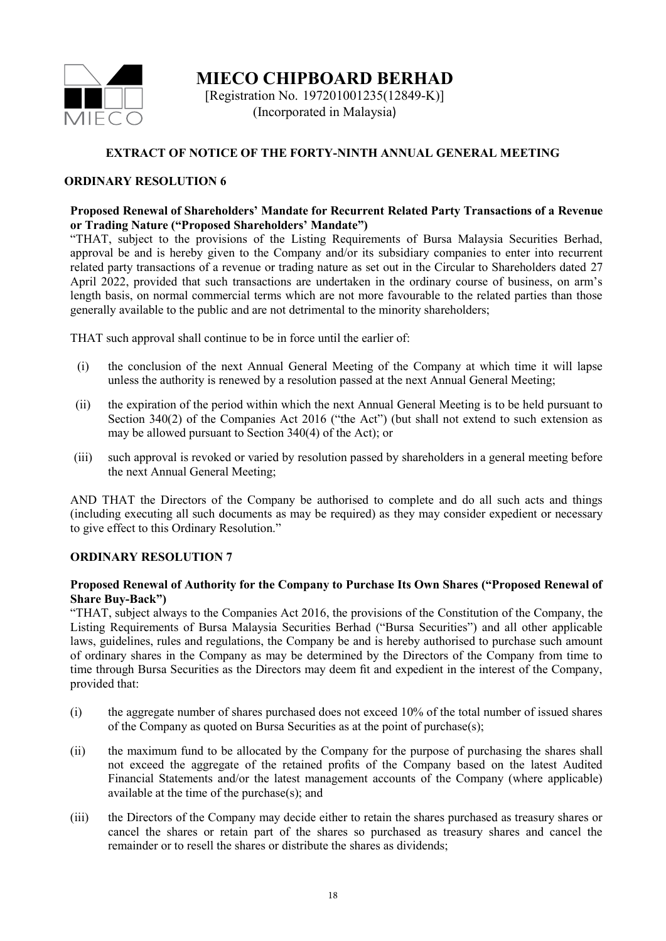

**MIECO CHIPBOARD BERHAD** [Registration No. 197201001235(12849-K)] (Incorporated in Malaysia)

# **EXTRACT OF NOTICE OF THE FORTY-NINTH ANNUAL GENERAL MEETING**

#### **ORDINARY RESOLUTION 6**

#### **Proposed Renewal of Shareholders' Mandate for Recurrent Related Party Transactions of a Revenue or Trading Nature ("Proposed Shareholders' Mandate")**

"THAT, subject to the provisions of the Listing Requirements of Bursa Malaysia Securities Berhad, approval be and is hereby given to the Company and/or its subsidiary companies to enter into recurrent related party transactions of a revenue or trading nature as set out in the Circular to Shareholders dated 27 April 2022, provided that such transactions are undertaken in the ordinary course of business, on arm's length basis, on normal commercial terms which are not more favourable to the related parties than those generally available to the public and are not detrimental to the minority shareholders;

THAT such approval shall continue to be in force until the earlier of:

- (i) the conclusion of the next Annual General Meeting of the Company at which time it will lapse unless the authority is renewed by a resolution passed at the next Annual General Meeting;
- (ii) the expiration of the period within which the next Annual General Meeting is to be held pursuant to Section 340(2) of the Companies Act 2016 ("the Act") (but shall not extend to such extension as may be allowed pursuant to Section 340(4) of the Act); or
- (iii) such approval is revoked or varied by resolution passed by shareholders in a general meeting before the next Annual General Meeting;

AND THAT the Directors of the Company be authorised to complete and do all such acts and things (including executing all such documents as may be required) as they may consider expedient or necessary to give effect to this Ordinary Resolution."

#### **ORDINARY RESOLUTION 7**

#### **Proposed Renewal of Authority for the Company to Purchase Its Own Shares ("Proposed Renewal of Share Buy-Back")**

"THAT, subject always to the Companies Act 2016, the provisions of the Constitution of the Company, the Listing Requirements of Bursa Malaysia Securities Berhad ("Bursa Securities") and all other applicable laws, guidelines, rules and regulations, the Company be and is hereby authorised to purchase such amount of ordinary shares in the Company as may be determined by the Directors of the Company from time to time through Bursa Securities as the Directors may deem fit and expedient in the interest of the Company, provided that:

- (i) the aggregate number of shares purchased does not exceed 10% of the total number of issued shares of the Company as quoted on Bursa Securities as at the point of purchase(s);
- (ii) the maximum fund to be allocated by the Company for the purpose of purchasing the shares shall not exceed the aggregate of the retained profits of the Company based on the latest Audited Financial Statements and/or the latest management accounts of the Company (where applicable) available at the time of the purchase(s); and
- (iii) the Directors of the Company may decide either to retain the shares purchased as treasury shares or cancel the shares or retain part of the shares so purchased as treasury shares and cancel the remainder or to resell the shares or distribute the shares as dividends;